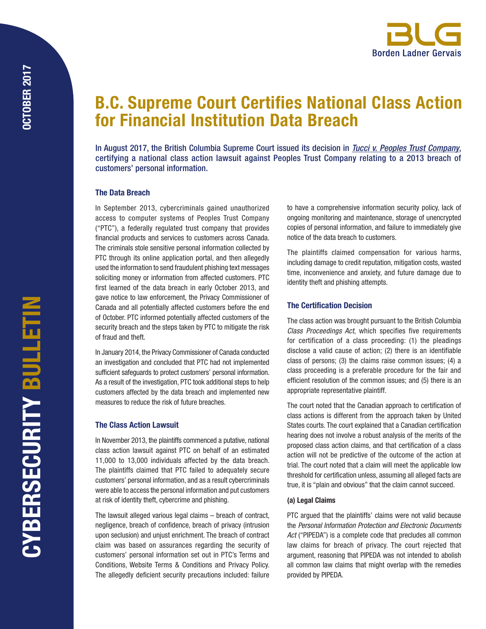

# B.C. Supreme Court Certifies National Class Action for Financial Institution Data Breach

In August 2017, the British Columbia Supreme Court issued its decision in *[Tucci v. Peoples Trust Company](http://canlii.ca/t/h5nn4)*, certifying a national class action lawsuit against Peoples Trust Company relating to a 2013 breach of customers' personal information.

#### The Data Breach

In September 2013, cybercriminals gained unauthorized access to computer systems of Peoples Trust Company ("PTC"), a federally regulated trust company that provides financial products and services to customers across Canada. The criminals stole sensitive personal information collected by PTC through its online application portal, and then allegedly used the information to send fraudulent phishing text messages soliciting money or information from affected customers. PTC first learned of the data breach in early October 2013, and gave notice to law enforcement, the Privacy Commissioner of Canada and all potentially affected customers before the end of October. PTC informed potentially affected customers of the security breach and the steps taken by PTC to mitigate the risk of fraud and theft.

In January 2014, the Privacy Commissioner of Canada conducted an investigation and concluded that PTC had not implemented sufficient safeguards to protect customers' personal information. As a result of the investigation, PTC took additional steps to help customers affected by the data breach and implemented new measures to reduce the risk of future breaches.

#### The Class Action Lawsuit

In November 2013, the plaintiffs commenced a putative, national class action lawsuit against PTC on behalf of an estimated 11,000 to 13,000 individuals affected by the data breach. The plaintiffs claimed that PTC failed to adequately secure customers' personal information, and as a result cybercriminals were able to access the personal information and put customers at risk of identity theft, cybercrime and phishing.

The lawsuit alleged various legal claims – breach of contract, negligence, breach of confidence, breach of privacy (intrusion upon seclusion) and unjust enrichment. The breach of contract claim was based on assurances regarding the security of customers' personal information set out in PTC's Terms and Conditions, Website Terms & Conditions and Privacy Policy. The allegedly deficient security precautions included: failure

to have a comprehensive information security policy, lack of ongoing monitoring and maintenance, storage of unencrypted copies of personal information, and failure to immediately give notice of the data breach to customers.

The plaintiffs claimed compensation for various harms, including damage to credit reputation, mitigation costs, wasted time, inconvenience and anxiety, and future damage due to identity theft and phishing attempts.

### The Certification Decision

The class action was brought pursuant to the British Columbia *Class Proceedings Act*, which specifies five requirements for certification of a class proceeding: (1) the pleadings disclose a valid cause of action; (2) there is an identifiable class of persons; (3) the claims raise common issues; (4) a class proceeding is a preferable procedure for the fair and efficient resolution of the common issues; and (5) there is an appropriate representative plaintiff.

The court noted that the Canadian approach to certification of class actions is different from the approach taken by United States courts. The court explained that a Canadian certification hearing does not involve a robust analysis of the merits of the proposed class action claims, and that certification of a class action will not be predictive of the outcome of the action at trial. The court noted that a claim will meet the applicable low threshold for certification unless, assuming all alleged facts are true, it is "plain and obvious" that the claim cannot succeed.

#### (a) Legal Claims

PTC argued that the plaintiffs' claims were not valid because the *Personal Information Protection and Electronic Documents Act* ("PIPEDA") is a complete code that precludes all common law claims for breach of privacy. The court rejected that argument, reasoning that PIPEDA was not intended to abolish all common law claims that might overlap with the remedies provided by PIPEDA.